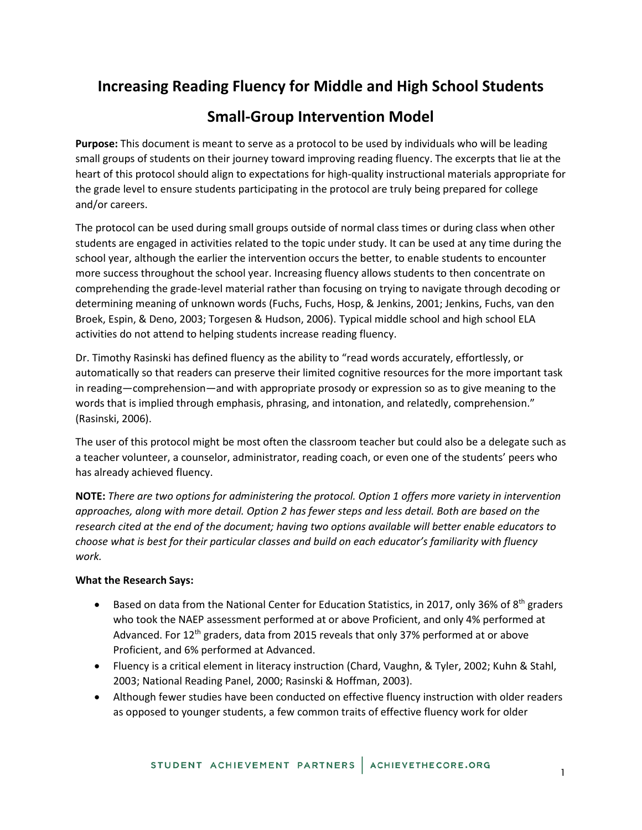# **Increasing Reading Fluency for Middle and High School Students**

# **Small-Group Intervention Model**

**Purpose:** This document is meant to serve as a protocol to be used by individuals who will be leading small groups of students on their journey toward improving reading fluency. The excerpts that lie at the heart of this protocol should align to expectations for high-quality instructional materials appropriate for the grade level to ensure students participating in the protocol are truly being prepared for college and/or careers.

The protocol can be used during small groups outside of normal class times or during class when other students are engaged in activities related to the topic under study. It can be used at any time during the school year, although the earlier the intervention occurs the better, to enable students to encounter more success throughout the school year. Increasing fluency allows students to then concentrate on comprehending the grade-level material rather than focusing on trying to navigate through decoding or determining meaning of unknown words (Fuchs, Fuchs, Hosp, & Jenkins, 2001; Jenkins, Fuchs, van den Broek, Espin, & Deno, 2003; Torgesen & Hudson, 2006). Typical middle school and high school ELA activities do not attend to helping students increase reading fluency.

Dr. Timothy Rasinski has defined fluency as the ability to "read words accurately, effortlessly, or automatically so that readers can preserve their limited cognitive resources for the more important task in reading―comprehension―and with appropriate prosody or expression so as to give meaning to the words that is implied through emphasis, phrasing, and intonation, and relatedly, comprehension." (Rasinski, 2006).

The user of this protocol might be most often the classroom teacher but could also be a delegate such as a teacher volunteer, a counselor, administrator, reading coach, or even one of the students' peers who has already achieved fluency.

**NOTE:** *There are two options for administering the protocol. Option 1 offers more variety in intervention approaches, along with more detail. Option 2 has fewer steps and less detail. Both are based on the research cited at the end of the document; having two options available will better enable educators to choose what is best for their particular classes and build on each educator's familiarity with fluency work.*

### **What the Research Says:**

- Based on data from the National Center for Education Statistics, in 2017, only 36% of 8<sup>th</sup> graders who took the NAEP assessment performed at or above Proficient, and only 4% performed at Advanced. For  $12<sup>th</sup>$  graders, data from 2015 reveals that only 37% performed at or above Proficient, and 6% performed at Advanced.
- Fluency is a critical element in literacy instruction (Chard, Vaughn, & Tyler, 2002; Kuhn & Stahl, 2003; National Reading Panel, 2000; Rasinski & Hoffman, 2003).
- Although fewer studies have been conducted on effective fluency instruction with older readers as opposed to younger students, a few common traits of effective fluency work for older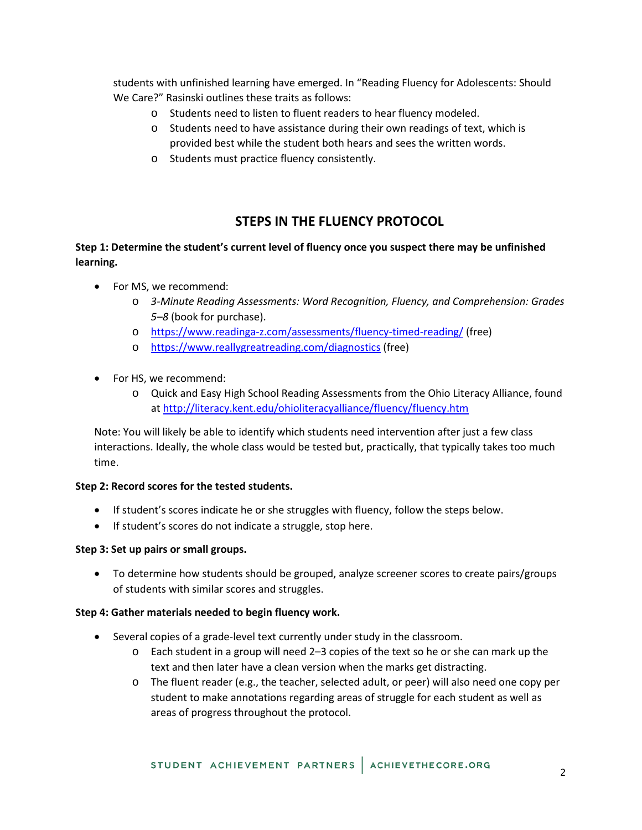students with unfinished learning have emerged. In "Reading Fluency for Adolescents: Should We Care?" Rasinski outlines these traits as follows:

- o Students need to listen to fluent readers to hear fluency modeled.
- o Students need to have assistance during their own readings of text, which is provided best while the student both hears and sees the written words.
- o Students must practice fluency consistently.

## **STEPS IN THE FLUENCY PROTOCOL**

### **Step 1: Determine the student's current level of fluency once you suspect there may be unfinished learning.**

- For MS, we recommend:
	- o *3-Minute Reading Assessments: Word Recognition, Fluency, and Comprehension: Grades 5–8* (book for purchase).
	- o <https://www.readinga-z.com/assessments/fluency-timed-reading/> (free)
	- o <https://www.reallygreatreading.com/diagnostics> (free)
- For HS, we recommend:
	- o Quick and Easy High School Reading Assessments from the Ohio Literacy Alliance, found at<http://literacy.kent.edu/ohioliteracyalliance/fluency/fluency.htm>

Note: You will likely be able to identify which students need intervention after just a few class interactions. Ideally, the whole class would be tested but, practically, that typically takes too much time.

### **Step 2: Record scores for the tested students.**

- If student's scores indicate he or she struggles with fluency, follow the steps below.
- If student's scores do not indicate a struggle, stop here.

### **Step 3: Set up pairs or small groups.**

• To determine how students should be grouped, analyze screener scores to create pairs/groups of students with similar scores and struggles.

### **Step 4: Gather materials needed to begin fluency work.**

- Several copies of a grade-level text currently under study in the classroom.
	- o Each student in a group will need 2–3 copies of the text so he or she can mark up the text and then later have a clean version when the marks get distracting.
	- o The fluent reader (e.g., the teacher, selected adult, or peer) will also need one copy per student to make annotations regarding areas of struggle for each student as well as areas of progress throughout the protocol.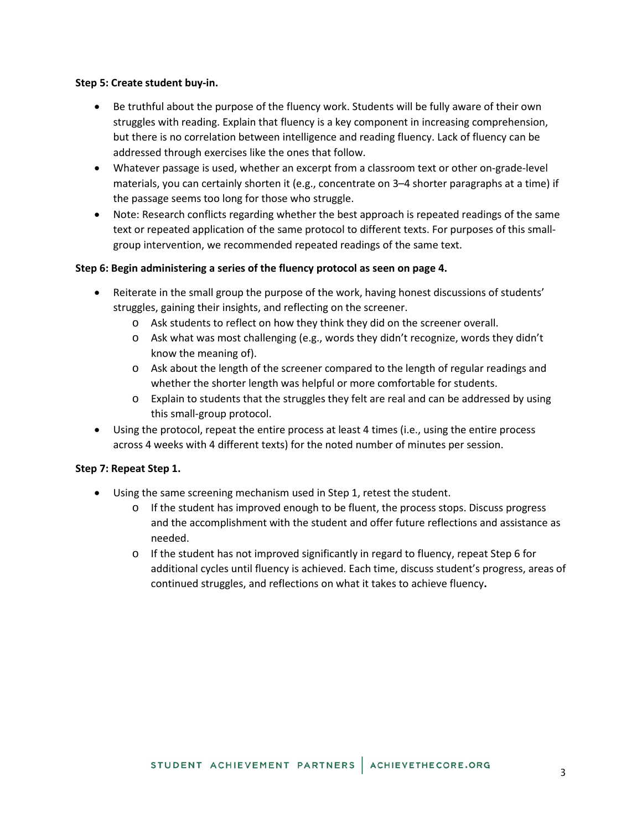### **Step 5: Create student buy-in.**

- Be truthful about the purpose of the fluency work. Students will be fully aware of their own struggles with reading. Explain that fluency is a key component in increasing comprehension, but there is no correlation between intelligence and reading fluency. Lack of fluency can be addressed through exercises like the ones that follow.
- Whatever passage is used, whether an excerpt from a classroom text or other on-grade-level materials, you can certainly shorten it (e.g., concentrate on 3–4 shorter paragraphs at a time) if the passage seems too long for those who struggle.
- Note: Research conflicts regarding whether the best approach is repeated readings of the same text or repeated application of the same protocol to different texts. For purposes of this smallgroup intervention, we recommended repeated readings of the same text.

### **Step 6: Begin administering a series of the fluency protocol as seen on page 4.**

- Reiterate in the small group the purpose of the work, having honest discussions of students' struggles, gaining their insights, and reflecting on the screener.
	- o Ask students to reflect on how they think they did on the screener overall.
	- o Ask what was most challenging (e.g., words they didn't recognize, words they didn't know the meaning of).
	- o Ask about the length of the screener compared to the length of regular readings and whether the shorter length was helpful or more comfortable for students.
	- $\circ$  Explain to students that the struggles they felt are real and can be addressed by using this small-group protocol.
- Using the protocol, repeat the entire process at least 4 times (i.e., using the entire process across 4 weeks with 4 different texts) for the noted number of minutes per session.

### **Step 7: Repeat Step 1.**

- Using the same screening mechanism used in Step 1, retest the student.
	- $\circ$  If the student has improved enough to be fluent, the process stops. Discuss progress and the accomplishment with the student and offer future reflections and assistance as needed.
	- $\circ$  If the student has not improved significantly in regard to fluency, repeat Step 6 for additional cycles until fluency is achieved. Each time, discuss student's progress, areas of continued struggles, and reflections on what it takes to achieve fluency**.**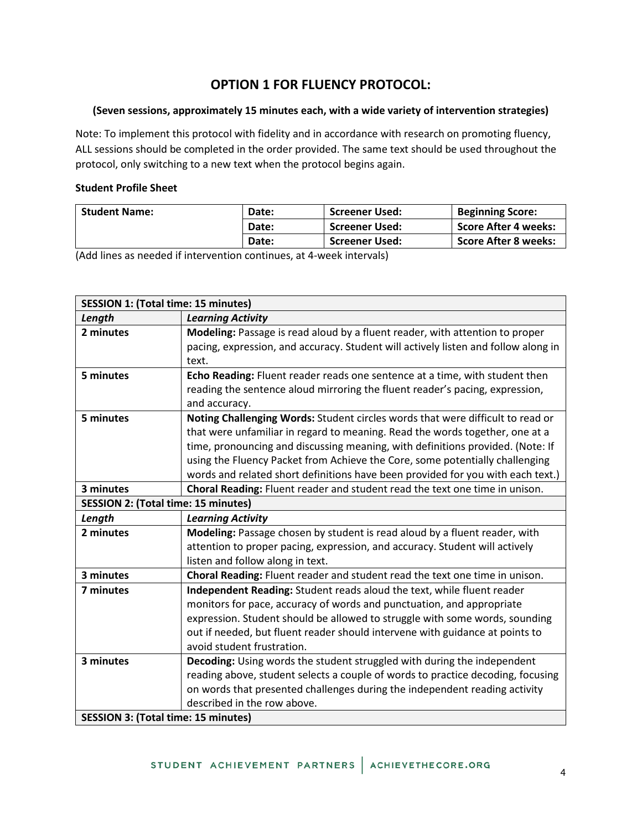# **OPTION 1 FOR FLUENCY PROTOCOL:**

### **(Seven sessions, approximately 15 minutes each, with a wide variety of intervention strategies)**

Note: To implement this protocol with fidelity and in accordance with research on promoting fluency, ALL sessions should be completed in the order provided. The same text should be used throughout the protocol, only switching to a new text when the protocol begins again.

### **Student Profile Sheet**

| <b>Student Name:</b> | Date: | <b>Screener Used:</b> | <b>Beginning Score:</b> |
|----------------------|-------|-----------------------|-------------------------|
|                      | Date: | <b>Screener Used:</b> | Score After 4 weeks:    |
|                      | Date: | <b>Screener Used:</b> | Score After 8 weeks:    |

(Add lines as needed if intervention continues, at 4-week intervals)

| <b>SESSION 1: (Total time: 15 minutes)</b> |                                                                                    |  |
|--------------------------------------------|------------------------------------------------------------------------------------|--|
| Length                                     | <b>Learning Activity</b>                                                           |  |
| 2 minutes                                  | Modeling: Passage is read aloud by a fluent reader, with attention to proper       |  |
|                                            | pacing, expression, and accuracy. Student will actively listen and follow along in |  |
|                                            | text.                                                                              |  |
| 5 minutes                                  | Echo Reading: Fluent reader reads one sentence at a time, with student then        |  |
|                                            | reading the sentence aloud mirroring the fluent reader's pacing, expression,       |  |
|                                            | and accuracy.                                                                      |  |
| 5 minutes                                  | Noting Challenging Words: Student circles words that were difficult to read or     |  |
|                                            | that were unfamiliar in regard to meaning. Read the words together, one at a       |  |
|                                            | time, pronouncing and discussing meaning, with definitions provided. (Note: If     |  |
|                                            | using the Fluency Packet from Achieve the Core, some potentially challenging       |  |
|                                            | words and related short definitions have been provided for you with each text.)    |  |
| 3 minutes                                  | Choral Reading: Fluent reader and student read the text one time in unison.        |  |
| <b>SESSION 2: (Total time: 15 minutes)</b> |                                                                                    |  |
| Length                                     | <b>Learning Activity</b>                                                           |  |
| 2 minutes                                  | Modeling: Passage chosen by student is read aloud by a fluent reader, with         |  |
|                                            | attention to proper pacing, expression, and accuracy. Student will actively        |  |
|                                            | listen and follow along in text.                                                   |  |
| 3 minutes                                  | Choral Reading: Fluent reader and student read the text one time in unison.        |  |
| 7 minutes                                  | Independent Reading: Student reads aloud the text, while fluent reader             |  |
|                                            | monitors for pace, accuracy of words and punctuation, and appropriate              |  |
|                                            | expression. Student should be allowed to struggle with some words, sounding        |  |
|                                            | out if needed, but fluent reader should intervene with guidance at points to       |  |
|                                            | avoid student frustration.                                                         |  |
| 3 minutes                                  | Decoding: Using words the student struggled with during the independent            |  |
|                                            | reading above, student selects a couple of words to practice decoding, focusing    |  |
|                                            | on words that presented challenges during the independent reading activity         |  |
|                                            | described in the row above.                                                        |  |
| <b>SESSION 3: (Total time: 15 minutes)</b> |                                                                                    |  |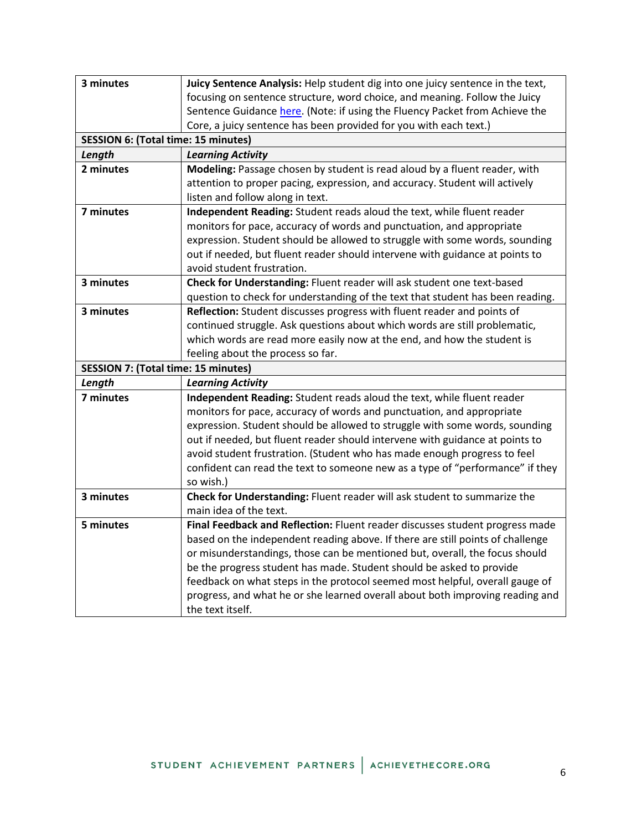| 3 minutes                                  | Juicy Sentence Analysis: Help student dig into one juicy sentence in the text, |
|--------------------------------------------|--------------------------------------------------------------------------------|
|                                            | focusing on sentence structure, word choice, and meaning. Follow the Juicy     |
|                                            | Sentence Guidance here. (Note: if using the Fluency Packet from Achieve the    |
|                                            | Core, a juicy sentence has been provided for you with each text.)              |
| <b>SESSION 6: (Total time: 15 minutes)</b> |                                                                                |
| Length                                     | <b>Learning Activity</b>                                                       |
| 2 minutes                                  | Modeling: Passage chosen by student is read aloud by a fluent reader, with     |
|                                            | attention to proper pacing, expression, and accuracy. Student will actively    |
|                                            | listen and follow along in text.                                               |
| 7 minutes                                  | Independent Reading: Student reads aloud the text, while fluent reader         |
|                                            | monitors for pace, accuracy of words and punctuation, and appropriate          |
|                                            | expression. Student should be allowed to struggle with some words, sounding    |
|                                            | out if needed, but fluent reader should intervene with guidance at points to   |
|                                            | avoid student frustration.                                                     |
| 3 minutes                                  | Check for Understanding: Fluent reader will ask student one text-based         |
|                                            | question to check for understanding of the text that student has been reading. |
| 3 minutes                                  | Reflection: Student discusses progress with fluent reader and points of        |
|                                            | continued struggle. Ask questions about which words are still problematic,     |
|                                            | which words are read more easily now at the end, and how the student is        |
|                                            | feeling about the process so far.                                              |
| <b>SESSION 7: (Total time: 15 minutes)</b> |                                                                                |
| Length                                     | <b>Learning Activity</b>                                                       |
| 7 minutes                                  | Independent Reading: Student reads aloud the text, while fluent reader         |
|                                            | monitors for pace, accuracy of words and punctuation, and appropriate          |
|                                            | expression. Student should be allowed to struggle with some words, sounding    |
|                                            | out if needed, but fluent reader should intervene with guidance at points to   |
|                                            | avoid student frustration. (Student who has made enough progress to feel       |
|                                            | confident can read the text to someone new as a type of "performance" if they  |
|                                            | so wish.)                                                                      |
| 3 minutes                                  | Check for Understanding: Fluent reader will ask student to summarize the       |
|                                            | main idea of the text.                                                         |
| 5 minutes                                  | Final Feedback and Reflection: Fluent reader discusses student progress made   |
|                                            | based on the independent reading above. If there are still points of challenge |
|                                            | or misunderstandings, those can be mentioned but, overall, the focus should    |
|                                            | be the progress student has made. Student should be asked to provide           |
|                                            | feedback on what steps in the protocol seemed most helpful, overall gauge of   |
|                                            | progress, and what he or she learned overall about both improving reading and  |
|                                            | the text itself.                                                               |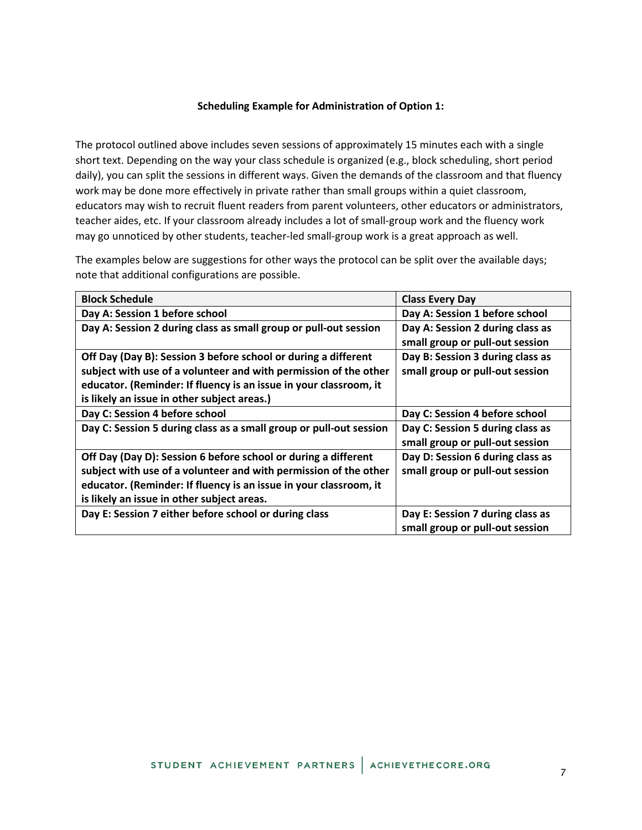#### **Scheduling Example for Administration of Option 1:**

The protocol outlined above includes seven sessions of approximately 15 minutes each with a single short text. Depending on the way your class schedule is organized (e.g., block scheduling, short period daily), you can split the sessions in different ways. Given the demands of the classroom and that fluency work may be done more effectively in private rather than small groups within a quiet classroom, educators may wish to recruit fluent readers from parent volunteers, other educators or administrators, teacher aides, etc. If your classroom already includes a lot of small-group work and the fluency work may go unnoticed by other students, teacher-led small-group work is a great approach as well.

The examples below are suggestions for other ways the protocol can be split over the available days; note that additional configurations are possible.

| <b>Block Schedule</b>                                              | <b>Class Every Day</b>           |
|--------------------------------------------------------------------|----------------------------------|
| Day A: Session 1 before school                                     | Day A: Session 1 before school   |
| Day A: Session 2 during class as small group or pull-out session   | Day A: Session 2 during class as |
|                                                                    | small group or pull-out session  |
| Off Day (Day B): Session 3 before school or during a different     | Day B: Session 3 during class as |
| subject with use of a volunteer and with permission of the other   | small group or pull-out session  |
| educator. (Reminder: If fluency is an issue in your classroom, it  |                                  |
| is likely an issue in other subject areas.)                        |                                  |
| Day C: Session 4 before school                                     | Day C: Session 4 before school   |
| Day C: Session 5 during class as a small group or pull-out session | Day C: Session 5 during class as |
|                                                                    | small group or pull-out session  |
| Off Day (Day D): Session 6 before school or during a different     | Day D: Session 6 during class as |
| subject with use of a volunteer and with permission of the other   | small group or pull-out session  |
| educator. (Reminder: If fluency is an issue in your classroom, it  |                                  |
| is likely an issue in other subject areas.                         |                                  |
| Day E: Session 7 either before school or during class              | Day E: Session 7 during class as |
|                                                                    | small group or pull-out session  |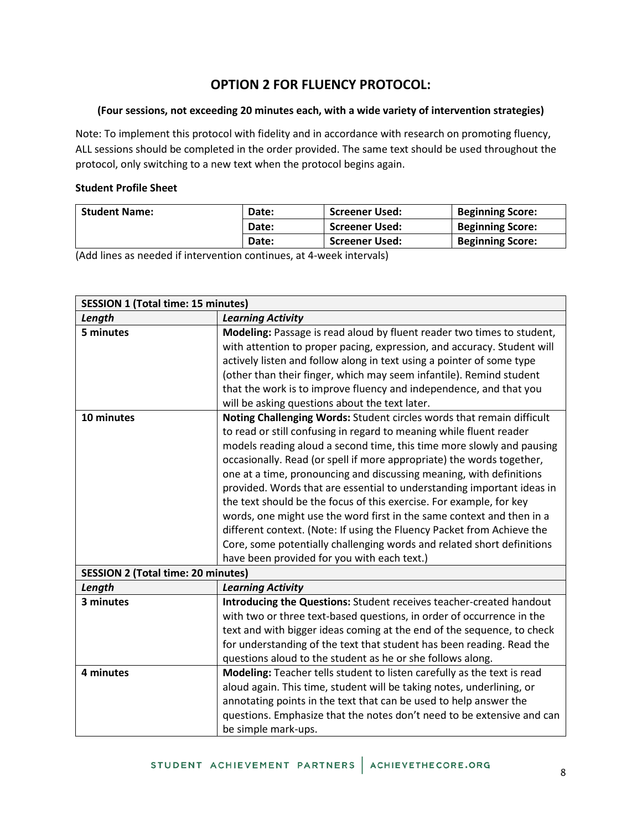# **OPTION 2 FOR FLUENCY PROTOCOL:**

### **(Four sessions, not exceeding 20 minutes each, with a wide variety of intervention strategies)**

Note: To implement this protocol with fidelity and in accordance with research on promoting fluency, ALL sessions should be completed in the order provided. The same text should be used throughout the protocol, only switching to a new text when the protocol begins again.

### **Student Profile Sheet**

| <b>Student Name:</b> | Date: | <b>Screener Used:</b> | <b>Beginning Score:</b> |
|----------------------|-------|-----------------------|-------------------------|
|                      | Date: | <b>Screener Used:</b> | <b>Beginning Score:</b> |
|                      | Date: | <b>Screener Used:</b> | <b>Beginning Score:</b> |

(Add lines as needed if intervention continues, at 4-week intervals)

| <b>SESSION 1 (Total time: 15 minutes)</b>               |                                                                                                                                                                                                                                                                                                                                                                                                                                                                                                                                                                                                                                                                                                                                                                                                    |  |
|---------------------------------------------------------|----------------------------------------------------------------------------------------------------------------------------------------------------------------------------------------------------------------------------------------------------------------------------------------------------------------------------------------------------------------------------------------------------------------------------------------------------------------------------------------------------------------------------------------------------------------------------------------------------------------------------------------------------------------------------------------------------------------------------------------------------------------------------------------------------|--|
| Length                                                  | <b>Learning Activity</b>                                                                                                                                                                                                                                                                                                                                                                                                                                                                                                                                                                                                                                                                                                                                                                           |  |
| 5 minutes                                               | Modeling: Passage is read aloud by fluent reader two times to student,<br>with attention to proper pacing, expression, and accuracy. Student will<br>actively listen and follow along in text using a pointer of some type<br>(other than their finger, which may seem infantile). Remind student                                                                                                                                                                                                                                                                                                                                                                                                                                                                                                  |  |
|                                                         | that the work is to improve fluency and independence, and that you<br>will be asking questions about the text later.                                                                                                                                                                                                                                                                                                                                                                                                                                                                                                                                                                                                                                                                               |  |
| 10 minutes<br><b>SESSION 2 (Total time: 20 minutes)</b> | Noting Challenging Words: Student circles words that remain difficult<br>to read or still confusing in regard to meaning while fluent reader<br>models reading aloud a second time, this time more slowly and pausing<br>occasionally. Read (or spell if more appropriate) the words together,<br>one at a time, pronouncing and discussing meaning, with definitions<br>provided. Words that are essential to understanding important ideas in<br>the text should be the focus of this exercise. For example, for key<br>words, one might use the word first in the same context and then in a<br>different context. (Note: If using the Fluency Packet from Achieve the<br>Core, some potentially challenging words and related short definitions<br>have been provided for you with each text.) |  |
| Length                                                  | <b>Learning Activity</b>                                                                                                                                                                                                                                                                                                                                                                                                                                                                                                                                                                                                                                                                                                                                                                           |  |
| 3 minutes                                               | Introducing the Questions: Student receives teacher-created handout<br>with two or three text-based questions, in order of occurrence in the<br>text and with bigger ideas coming at the end of the sequence, to check<br>for understanding of the text that student has been reading. Read the<br>questions aloud to the student as he or she follows along.                                                                                                                                                                                                                                                                                                                                                                                                                                      |  |
| 4 minutes                                               | Modeling: Teacher tells student to listen carefully as the text is read<br>aloud again. This time, student will be taking notes, underlining, or<br>annotating points in the text that can be used to help answer the<br>questions. Emphasize that the notes don't need to be extensive and can<br>be simple mark-ups.                                                                                                                                                                                                                                                                                                                                                                                                                                                                             |  |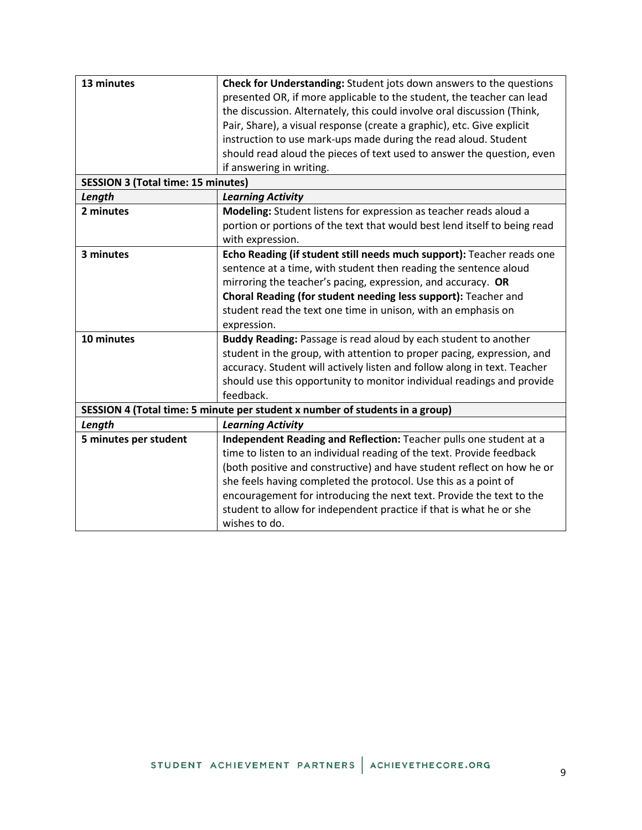| 13 minutes                                | Check for Understanding: Student jots down answers to the questions          |
|-------------------------------------------|------------------------------------------------------------------------------|
|                                           | presented OR, if more applicable to the student, the teacher can lead        |
|                                           | the discussion. Alternately, this could involve oral discussion (Think,      |
|                                           | Pair, Share), a visual response (create a graphic), etc. Give explicit       |
|                                           | instruction to use mark-ups made during the read aloud. Student              |
|                                           | should read aloud the pieces of text used to answer the question, even       |
|                                           | if answering in writing.                                                     |
| <b>SESSION 3 (Total time: 15 minutes)</b> |                                                                              |
| Length                                    | <b>Learning Activity</b>                                                     |
| 2 minutes                                 | Modeling: Student listens for expression as teacher reads aloud a            |
|                                           | portion or portions of the text that would best lend itself to being read    |
|                                           | with expression.                                                             |
| 3 minutes                                 | Echo Reading (if student still needs much support): Teacher reads one        |
|                                           | sentence at a time, with student then reading the sentence aloud             |
|                                           | mirroring the teacher's pacing, expression, and accuracy. OR                 |
|                                           | Choral Reading (for student needing less support): Teacher and               |
|                                           | student read the text one time in unison, with an emphasis on                |
|                                           | expression.                                                                  |
| 10 minutes                                | Buddy Reading: Passage is read aloud by each student to another              |
|                                           | student in the group, with attention to proper pacing, expression, and       |
|                                           | accuracy. Student will actively listen and follow along in text. Teacher     |
|                                           | should use this opportunity to monitor individual readings and provide       |
|                                           | feedback.                                                                    |
|                                           | SESSION 4 (Total time: 5 minute per student x number of students in a group) |
| Length                                    | <b>Learning Activity</b>                                                     |
| 5 minutes per student                     | Independent Reading and Reflection: Teacher pulls one student at a           |
|                                           | time to listen to an individual reading of the text. Provide feedback        |
|                                           | (both positive and constructive) and have student reflect on how he or       |
|                                           | she feels having completed the protocol. Use this as a point of              |
|                                           | encouragement for introducing the next text. Provide the text to the         |
|                                           | student to allow for independent practice if that is what he or she          |
|                                           | wishes to do.                                                                |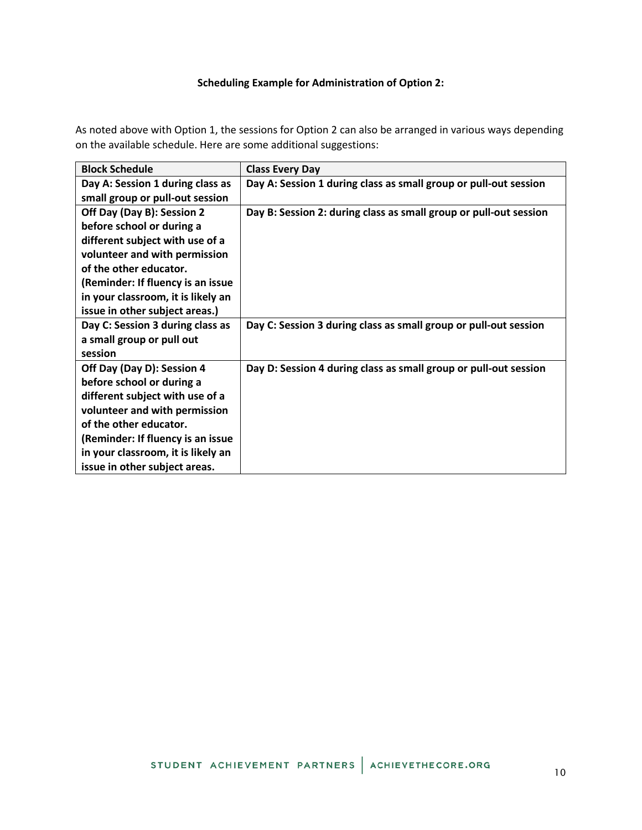### **Scheduling Example for Administration of Option 2:**

As noted above with Option 1, the sessions for Option 2 can also be arranged in various ways depending on the available schedule. Here are some additional suggestions:

| <b>Block Schedule</b>              | <b>Class Every Day</b>                                            |
|------------------------------------|-------------------------------------------------------------------|
| Day A: Session 1 during class as   | Day A: Session 1 during class as small group or pull-out session  |
| small group or pull-out session    |                                                                   |
| Off Day (Day B): Session 2         | Day B: Session 2: during class as small group or pull-out session |
| before school or during a          |                                                                   |
| different subject with use of a    |                                                                   |
| volunteer and with permission      |                                                                   |
| of the other educator.             |                                                                   |
| (Reminder: If fluency is an issue  |                                                                   |
| in your classroom, it is likely an |                                                                   |
| issue in other subject areas.)     |                                                                   |
| Day C: Session 3 during class as   | Day C: Session 3 during class as small group or pull-out session  |
| a small group or pull out          |                                                                   |
| session                            |                                                                   |
| Off Day (Day D): Session 4         | Day D: Session 4 during class as small group or pull-out session  |
| before school or during a          |                                                                   |
| different subject with use of a    |                                                                   |
| volunteer and with permission      |                                                                   |
| of the other educator.             |                                                                   |
| (Reminder: If fluency is an issue  |                                                                   |
| in your classroom, it is likely an |                                                                   |
| issue in other subject areas.      |                                                                   |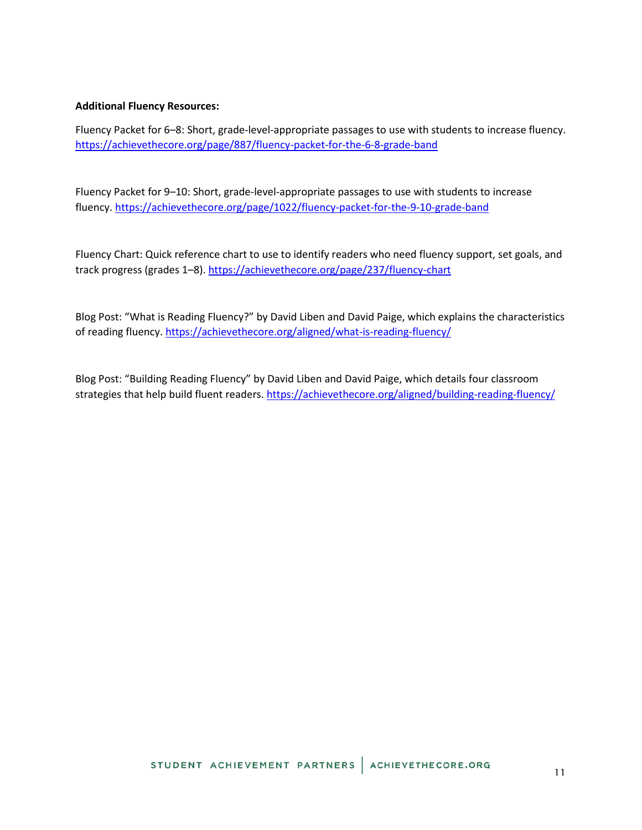### **Additional Fluency Resources:**

Fluency Packet for 6–8: Short, grade-level-appropriate passages to use with students to increase fluency. <https://achievethecore.org/page/887/fluency-packet-for-the-6-8-grade-band>

Fluency Packet for 9–10: Short, grade-level-appropriate passages to use with students to increase fluency.<https://achievethecore.org/page/1022/fluency-packet-for-the-9-10-grade-band>

Fluency Chart: Quick reference chart to use to identify readers who need fluency support, set goals, and track progress (grades 1–8).<https://achievethecore.org/page/237/fluency-chart>

Blog Post: "What is Reading Fluency?" by David Liben and David Paige, which explains the characteristics of reading fluency.<https://achievethecore.org/aligned/what-is-reading-fluency/>

Blog Post: "Building Reading Fluency" by David Liben and David Paige, which details four classroom strategies that help build fluent readers.<https://achievethecore.org/aligned/building-reading-fluency/>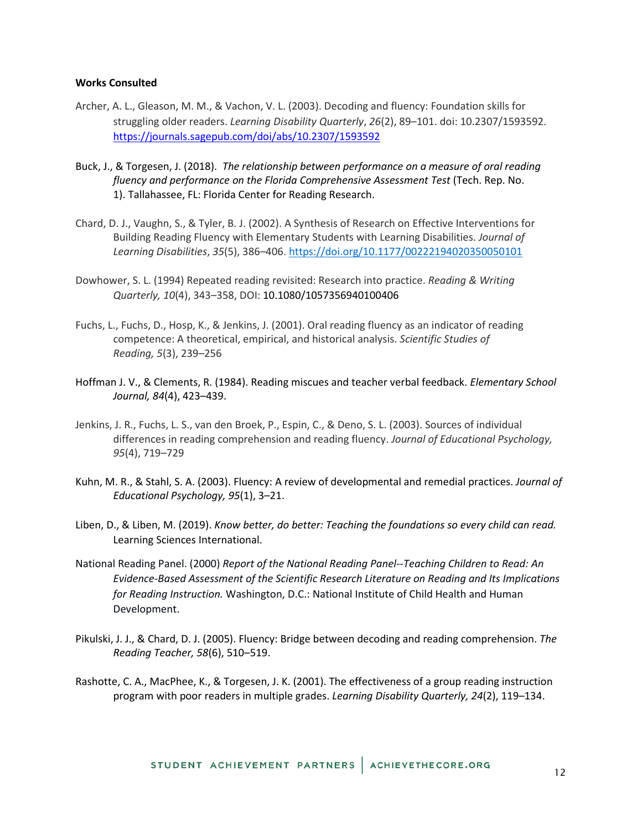#### **Works Consulted**

- Archer, A. L., Gleason, M. M., & Vachon, V. L. (2003). Decoding and fluency: Foundation skills for struggling older readers. *Learning Disability Quarterly*, *26*(2), 89–101. doi: 10.2307/1593592. <https://journals.sagepub.com/doi/abs/10.2307/1593592>
- Buck, J., & Torgesen, J. (2018). *The relationship between performance on a measure of oral reading fluency and performance on the Florida Comprehensive Assessment Test* (Tech. Rep. No. 1). Tallahassee, FL: Florida Center for Reading Research.
- Chard, D. J., Vaughn, S., & Tyler, B. J. (2002). A Synthesis of Research on Effective Interventions for Building Reading Fluency with Elementary Students with Learning Disabilities. *Journal of Learning Disabilities*, *35*(5), 386–406. <https://doi.org/10.1177/00222194020350050101>
- Dowhower, S. L. (1994) Repeated reading revisited: Research into practice. *Reading & Writing Quarterly, 10*(4), 343–358, DOI: 10.1080/1057356940100406
- Fuchs, L., Fuchs, D., Hosp, K., & Jenkins, J. (2001). Oral reading fluency as an indicator of reading competence: A theoretical, empirical, and historical analysis. *Scientific Studies of Reading, 5*(3), 239–256
- Hoffman J. V., & Clements, R. (1984). Reading miscues and teacher verbal feedback. *Elementary School Journal, 84*(4), 423–439.
- Jenkins, J. R., Fuchs, L. S., van den Broek, P., Espin, C., & Deno, S. L. (2003). Sources of individual differences in reading comprehension and reading fluency. *Journal of Educational Psychology, 95*(4), 719–729
- Kuhn, M. R., & Stahl, S. A. (2003). Fluency: A review of developmental and remedial practices. *Journal of Educational Psychology, 95*(1), 3–21.
- Liben, D., & Liben, M. (2019). *Know better, do better: Teaching the foundations so every child can read.*  Learning Sciences International.
- National Reading Panel. (2000) *Report of the National Reading Panel--Teaching Children to Read: An Evidence-Based Assessment of the Scientific Research Literature on Reading and Its Implications for Reading Instruction.* Washington, D.C.: National Institute of Child Health and Human Development.
- Pikulski, J. J., & Chard, D. J. (2005). Fluency: Bridge between decoding and reading comprehension. *The Reading Teacher, 58*(6), 510–519.
- Rashotte, C. A., MacPhee, K., & Torgesen, J. K. (2001). The effectiveness of a group reading instruction program with poor readers in multiple grades. *Learning Disability Quarterly, 24*(2), 119–134.